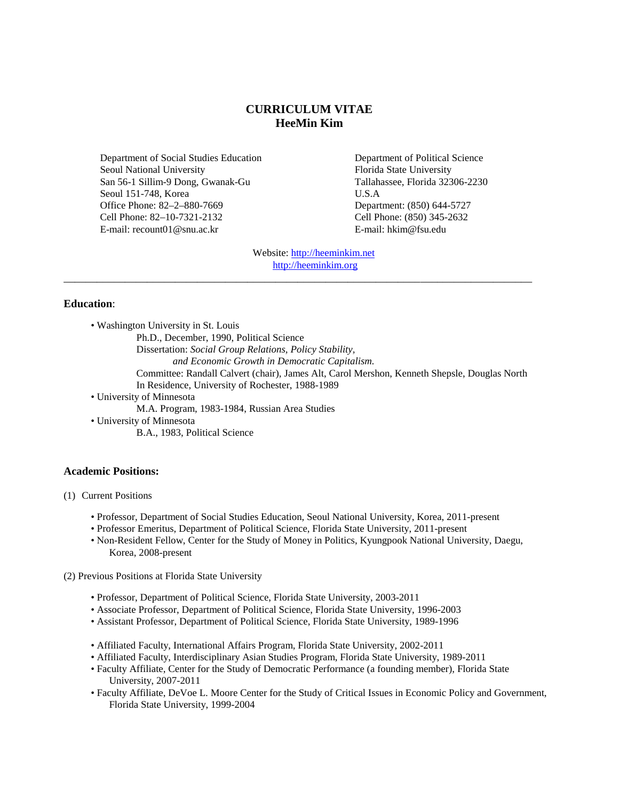# **CURRICULUM VITAE HeeMin Kim**

Department of Social Studies Education Seoul National University San 56-1 Sillim-9 Dong, Gwanak-Gu Seoul 151-748, Korea Office Phone: 82–2–880-7669 Cell Phone: 82–10-7321-2132 E-mail: recount01@snu.ac.kr

Department of Political Science Florida State University Tallahassee, Florida 32306-2230 U.S.A Department: (850) 644-5727 Cell Phone: (850) 345-2632 E-mail: hkim@fsu.edu

Website: [http://heeminkim.net](http://heeminkim.net/) [http://heeminkim.org](http://heeminkim.org/)

\_\_\_\_\_\_\_\_\_\_\_\_\_\_\_\_\_\_\_\_\_\_\_\_\_\_\_\_\_\_\_\_\_\_\_\_\_\_\_\_\_\_\_\_\_\_\_\_\_\_\_\_\_\_\_\_\_\_\_\_\_\_\_\_\_\_\_\_\_\_\_\_\_\_\_\_\_\_\_\_\_\_\_\_

#### **Education**:

• Washington University in St. Louis

Ph.D., December, 1990, Political Science

Dissertation: *Social Group Relations, Policy Stability,*

*and Economic Growth in Democratic Capitalism.*

Committee: Randall Calvert (chair), James Alt, Carol Mershon, Kenneth Shepsle, Douglas North In Residence, University of Rochester, 1988-1989

• University of Minnesota

M.A. Program, 1983-1984, Russian Area Studies

• University of Minnesota

B.A., 1983, Political Science

### **Academic Positions:**

(1) Current Positions

- Professor, Department of Social Studies Education, Seoul National University, Korea, 2011-present
- Professor Emeritus, Department of Political Science, Florida State University, 2011-present
- Non-Resident Fellow, Center for the Study of Money in Politics, Kyungpook National University, Daegu, Korea, 2008-present

(2) Previous Positions at Florida State University

- Professor, Department of Political Science, Florida State University, 2003-2011
- Associate Professor, Department of Political Science, Florida State University, 1996-2003
- Assistant Professor, Department of Political Science, Florida State University, 1989-1996
- Affiliated Faculty, International Affairs Program, Florida State University, 2002-2011
- Affiliated Faculty, Interdisciplinary Asian Studies Program, Florida State University, 1989-2011
- Faculty Affiliate, Center for the Study of Democratic Performance (a founding member), Florida State University, 2007-2011
- Faculty Affiliate, DeVoe L. Moore Center for the Study of Critical Issues in Economic Policy and Government, Florida State University, 1999-2004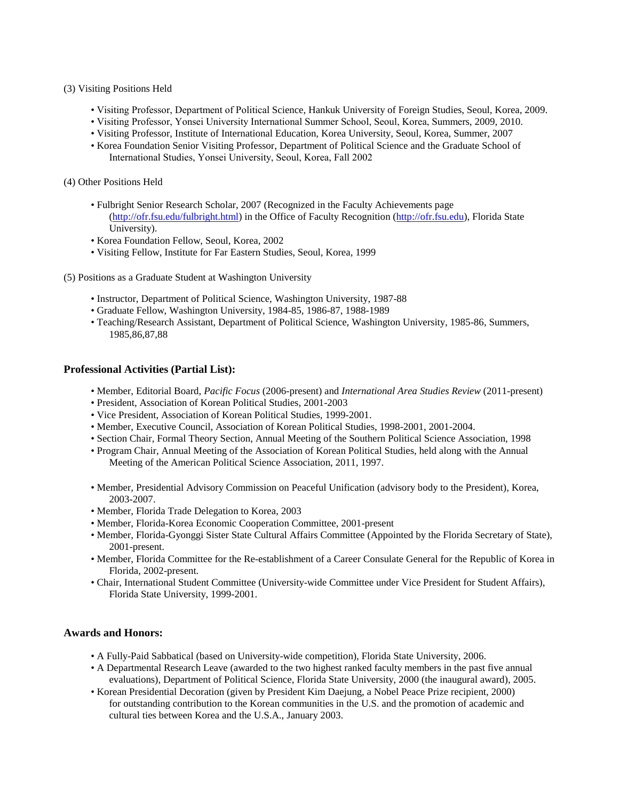#### (3) Visiting Positions Held

- Visiting Professor, Department of Political Science, Hankuk University of Foreign Studies, Seoul, Korea, 2009.
- Visiting Professor, Yonsei University International Summer School, Seoul, Korea, Summers, 2009, 2010.
- Visiting Professor, Institute of International Education, Korea University, Seoul, Korea, Summer, 2007
- Korea Foundation Senior Visiting Professor, Department of Political Science and the Graduate School of International Studies, Yonsei University, Seoul, Korea, Fall 2002
- (4) Other Positions Held
	- Fulbright Senior Research Scholar, 2007 (Recognized in the Faculty Achievements page [\(http://ofr.fsu.edu/fulbright.html\)](http://ofr.fsu.edu/fulbright.html) in the Office of Faculty Recognition (http://ofr.fsu.edu), Florida State University).
	- Korea Foundation Fellow, Seoul, Korea, 2002
	- Visiting Fellow, Institute for Far Eastern Studies, Seoul, Korea, 1999
- (5) Positions as a Graduate Student at Washington University
	- Instructor, Department of Political Science, Washington University, 1987-88
	- Graduate Fellow, Washington University, 1984-85, 1986-87, 1988-1989
	- Teaching/Research Assistant, Department of Political Science, Washington University, 1985-86, Summers, 1985,86,87,88

### **Professional Activities (Partial List):**

- Member, Editorial Board, *Pacific Focus* (2006-present) and *International Area Studies Review* (2011-present)
- President, Association of Korean Political Studies, 2001-2003
- Vice President, Association of Korean Political Studies, 1999-2001.
- Member, Executive Council, Association of Korean Political Studies, 1998-2001, 2001-2004.
- Section Chair, Formal Theory Section, Annual Meeting of the Southern Political Science Association, 1998
- Program Chair, Annual Meeting of the Association of Korean Political Studies, held along with the Annual Meeting of the American Political Science Association, 2011, 1997.
- Member, Presidential Advisory Commission on Peaceful Unification (advisory body to the President), Korea, 2003-2007.
- Member, Florida Trade Delegation to Korea, 2003
- Member, Florida-Korea Economic Cooperation Committee, 2001-present
- Member, Florida-Gyonggi Sister State Cultural Affairs Committee (Appointed by the Florida Secretary of State), 2001-present.
- Member, Florida Committee for the Re-establishment of a Career Consulate General for the Republic of Korea in Florida, 2002-present.
- Chair, International Student Committee (University-wide Committee under Vice President for Student Affairs), Florida State University, 1999-2001.

### **Awards and Honors:**

- A Fully-Paid Sabbatical (based on University-wide competition), Florida State University, 2006.
- A Departmental Research Leave (awarded to the two highest ranked faculty members in the past five annual evaluations), Department of Political Science, Florida State University, 2000 (the inaugural award), 2005.
- Korean Presidential Decoration (given by President Kim Daejung, a Nobel Peace Prize recipient, 2000) for outstanding contribution to the Korean communities in the U.S. and the promotion of academic and cultural ties between Korea and the U.S.A., January 2003.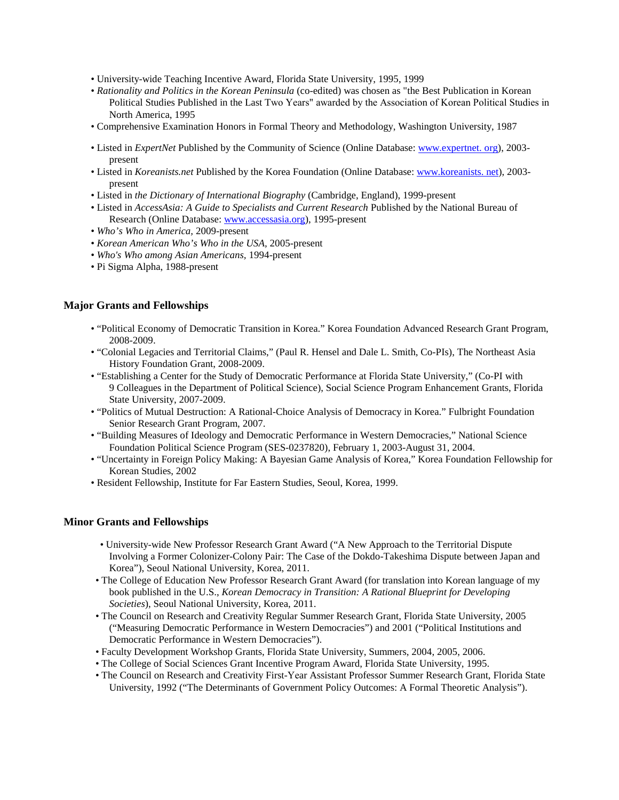- University-wide Teaching Incentive Award, Florida State University, 1995, 1999
- *Rationality and Politics in the Korean Peninsula* (co-edited) was chosen as "the Best Publication in Korean Political Studies Published in the Last Two Years" awarded by the Association of Korean Political Studies in North America, 1995
- Comprehensive Examination Honors in Formal Theory and Methodology, Washington University, 1987
- Listed in *ExpertNet* Published by the Community of Science (Online Database: www.expertnet. org), 2003 present
- Listed in *Koreanists.net* Published by the Korea Foundation (Online Database: www.koreanists. net), 2003 present
- Listed in *the Dictionary of International Biography* (Cambridge, England), 1999-present
- Listed in *AccessAsia: A Guide to Specialists and Current Research* Published by the National Bureau of Research (Online Database[: www.accessasia.org\)](http://www.accessasia.org/), 1995-present
- *Who's Who in America,* 2009-present
- *Korean American Who's Who in the USA,* 2005-present
- *Who's Who among Asian Americans,* 1994-present
- Pi Sigma Alpha, 1988-present

### **Major Grants and Fellowships**

- "Political Economy of Democratic Transition in Korea." Korea Foundation Advanced Research Grant Program, 2008-2009.
- "Colonial Legacies and Territorial Claims," (Paul R. Hensel and Dale L. Smith, Co-PIs), The Northeast Asia History Foundation Grant, 2008-2009.
- "Establishing a Center for the Study of Democratic Performance at Florida State University," (Co-PI with 9 Colleagues in the Department of Political Science), Social Science Program Enhancement Grants, Florida State University, 2007-2009.
- "Politics of Mutual Destruction: A Rational-Choice Analysis of Democracy in Korea." Fulbright Foundation Senior Research Grant Program, 2007.
- "Building Measures of Ideology and Democratic Performance in Western Democracies," National Science Foundation Political Science Program (SES-0237820), February 1, 2003-August 31, 2004.
- "Uncertainty in Foreign Policy Making: A Bayesian Game Analysis of Korea," Korea Foundation Fellowship for Korean Studies, 2002
- Resident Fellowship, Institute for Far Eastern Studies, Seoul, Korea, 1999.

### **Minor Grants and Fellowships**

- University-wide New Professor Research Grant Award ("A New Approach to the Territorial Dispute Involving a Former Colonizer-Colony Pair: The Case of the Dokdo-Takeshima Dispute between Japan and Korea"), Seoul National University, Korea, 2011.
- The College of Education New Professor Research Grant Award (for translation into Korean language of my book published in the U.S., *Korean Democracy in Transition: A Rational Blueprint for Developing Societies*), Seoul National University, Korea, 2011.
- The Council on Research and Creativity Regular Summer Research Grant, Florida State University, 2005 ("Measuring Democratic Performance in Western Democracies") and 2001 ("Political Institutions and Democratic Performance in Western Democracies").
- Faculty Development Workshop Grants, Florida State University, Summers, 2004, 2005, 2006.
- The College of Social Sciences Grant Incentive Program Award, Florida State University, 1995.
- The Council on Research and Creativity First-Year Assistant Professor Summer Research Grant, Florida State University, 1992 ("The Determinants of Government Policy Outcomes: A Formal Theoretic Analysis").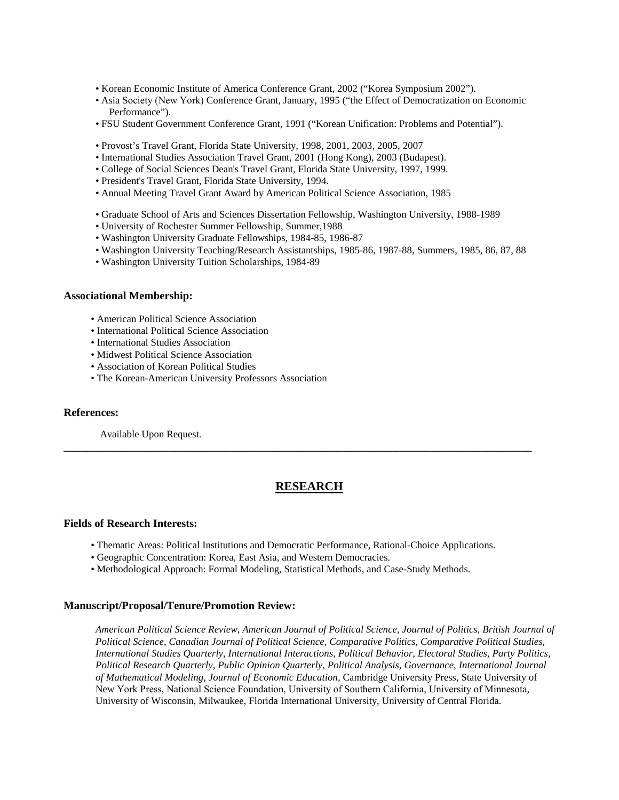- Korean Economic Institute of America Conference Grant, 2002 ("Korea Symposium 2002").
- Asia Society (New York) Conference Grant, January, 1995 ("the Effect of Democratization on Economic Performance").
- FSU Student Government Conference Grant, 1991 ("Korean Unification: Problems and Potential").
- Provost's Travel Grant, Florida State University, 1998, 2001, 2003, 2005, 2007
- International Studies Association Travel Grant, 2001 (Hong Kong), 2003 (Budapest).
- College of Social Sciences Dean's Travel Grant, Florida State University, 1997, 1999.
- President's Travel Grant, Florida State University, 1994.
- Annual Meeting Travel Grant Award by American Political Science Association, 1985
- Graduate School of Arts and Sciences Dissertation Fellowship, Washington University, 1988-1989
- University of Rochester Summer Fellowship, Summer,1988
- Washington University Graduate Fellowships, 1984-85, 1986-87
- Washington University Teaching/Research Assistantships, 1985-86, 1987-88, Summers, 1985, 86, 87, 88
- Washington University Tuition Scholarships, 1984-89

#### **Associational Membership:**

- American Political Science Association
- International Political Science Association
- International Studies Association
- Midwest Political Science Association
- Association of Korean Political Studies
- The Korean-American University Professors Association

### **References:**

Available Upon Request.

# **RESEARCH**

**\_\_\_\_\_\_\_\_\_\_\_\_\_\_\_\_\_\_\_\_\_\_\_\_\_\_\_\_\_\_\_\_\_\_\_\_\_\_\_\_\_\_\_\_\_\_\_\_\_\_\_\_\_\_\_\_\_\_\_\_\_\_\_\_\_\_\_\_\_\_\_\_\_\_\_\_\_\_\_\_\_\_\_\_**

### **Fields of Research Interests:**

- Thematic Areas: Political Institutions and Democratic Performance, Rational-Choice Applications.
- Geographic Concentration: Korea, East Asia, and Western Democracies.
- Methodological Approach: Formal Modeling, Statistical Methods, and Case-Study Methods.

### **Manuscript/Proposal/Tenure/Promotion Review:**

*American Political Science Review, American Journal of Political Science, Journal of Politics, British Journal of Political Science, Canadian Journal of Political Science, Comparative Politics, Comparative Political Studies, International Studies Quarterly, International Interactions, Political Behavior, Electoral Studies, Party Politics, Political Research Quarterly, Public Opinion Quarterly, Political Analysis, Governance, International Journal of Mathematical Modeling, Journal of Economic Education,* Cambridge University Press, State University of New York Press, National Science Foundation, University of Southern California, University of Minnesota, University of Wisconsin, Milwaukee, Florida International University, University of Central Florida.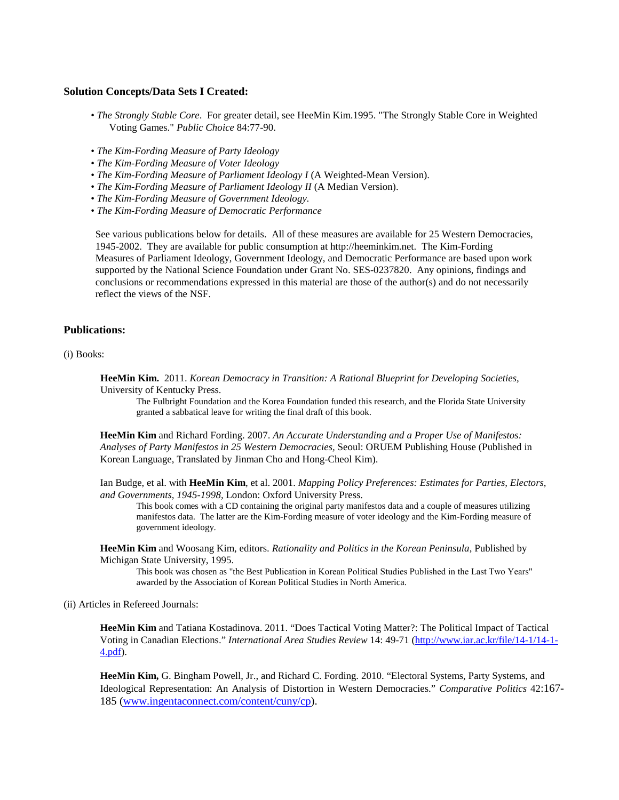### **Solution Concepts/Data Sets I Created:**

- *[The Strongly Stable Core](http://garnet.acns.fsu.edu/~hkim/ssc.pdf)*. For greater detail, see HeeMin Kim.1995. "The Strongly Stable Core in Weighted Voting Games." *Public Choice* 84:77-90.
- *[The Kim-Fording Measure of Party Ideology](http://garnet.acns.fsu.edu/~hkim/Kim-Fording%20Measure%20of%20Party%20Ideology.dta)*
- *[The Kim-Fording Measure of Voter Ideology](http://garnet.acns.fsu.edu/~hkim/Kim-Fording%20Measure%20of%20Voter%20Ideology%20Final%20Version.xls)*
- *[The Kim-Fording Measure of Parliament Ideology](http://garnet.acns.fsu.edu/~hkim/Kim-Fording%20Measure%20of%20Parliament%20Ideology%20Final%20Version.xls) I* (A Weighted-Mean Version).
- *The Kim-Fording Measure of Parliament Ideology II* (A Median Version).
- *[The Kim-Fording Measure of Government Ideology.](http://garnet.acns.fsu.edu/~hkim/Kim-Fording%20Measure%20of%20Government%20Ideology%20Final%20Version.xls)*
- *The Kim-Fording Measure of Democratic Performance*

See various publications below for details. All of these measures are available for 25 Western Democracies, 1945-2002. They are available for public consumption at http://heeminkim.net. The Kim-Fording Measures of Parliament Ideology, Government Ideology, and Democratic Performance are based upon work supported by the National Science Foundation under Grant No. SES-0237820. Any opinions, findings and conclusions or recommendations expressed in this material are those of the author(s) and do not necessarily reflect the views of the NSF.

### **Publications:**

#### (i) Books:

**HeeMin Kim.** 2011. *Korean Democracy in Transition: A Rational Blueprint for Developing Societies,* University of Kentucky Press.

The Fulbright Foundation and the Korea Foundation funded this research, and the Florida State University granted a sabbatical leave for writing the final draft of this book.

**HeeMin Kim** and Richard Fording. 2007. *An Accurate Understanding and a Proper Use of Manifestos: Analyses of Party Manifestos in 25 Western Democracies,* Seoul: ORUEM Publishing House (Published in Korean Language, Translated by Jinman Cho and Hong-Cheol Kim).

Ian Budge, et al. with **HeeMin Kim**, et al. 2001. *Mapping Policy Preferences: Estimates for Parties, Electors, and Governments, 1945-1998,* London: Oxford University Press.

This book comes with a CD containing the original party manifestos data and a couple of measures utilizing manifestos data. The latter are the Kim-Fording measure of voter ideology and the Kim-Fording measure of government ideology.

**HeeMin Kim** and Woosang Kim, editors. *Rationality and Politics in the Korean Peninsula*, Published by Michigan State University, 1995.

This book was chosen as "the Best Publication in Korean Political Studies Published in the Last Two Years" awarded by the Association of Korean Political Studies in North America.

(ii) Articles in Refereed Journals:

**HeeMin Kim** and Tatiana Kostadinova. 2011. "Does Tactical Voting Matter?: The Political Impact of Tactical Voting in Canadian Elections." *International Area Studies Review* 14: 49-71 [\(http://www.iar.ac.kr/file/14-1/14-1-](http://www.iar.ac.kr/file/14-1/14-1-4.pdf) [4.pdf\)](http://www.iar.ac.kr/file/14-1/14-1-4.pdf).

**HeeMin Kim,** G. Bingham Powell, Jr., and Richard C. Fording. 2010. "Electoral Systems, Party Systems, and Ideological Representation: An Analysis of Distortion in Western Democracies." *Comparative Politics* 42:167- 185 [\(www.ingentaconnect.com/content/cuny/cp\)](http://www.ingentaconnect.com/content/cuny/cp).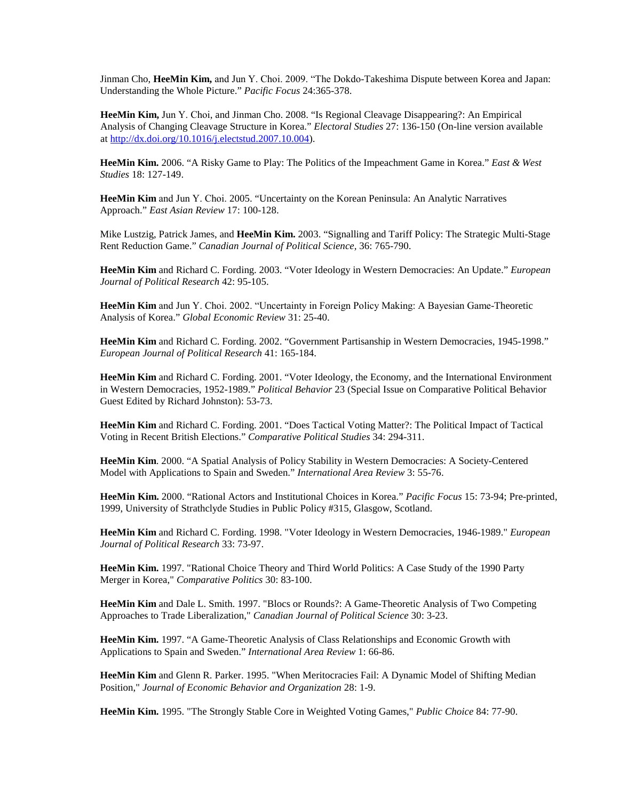Jinman Cho, **HeeMin Kim,** and Jun Y. Choi. 2009. "The Dokdo-Takeshima Dispute between Korea and Japan: Understanding the Whole Picture." *Pacific Focus* 24:365-378.

**HeeMin Kim,** Jun Y. Choi, and Jinman Cho. 2008. "Is Regional Cleavage Disappearing?: An Empirical Analysis of Changing Cleavage Structure in Korea." *Electoral Studies* 27: 136-150 (On-line version available at [http://dx.doi.org/10.1016/j.electstud.2007.10.004\)](http://dx.doi.org/10.1016/j.electstud.2007.10.004).

**HeeMin Kim.** 2006. "A Risky Game to Play: The Politics of the Impeachment Game in Korea." *East & West Studies* 18: 127-149.

**HeeMin Kim** and Jun Y. Choi. 2005. "Uncertainty on the Korean Peninsula: An Analytic Narratives Approach." *East Asian Review* 17: 100-128.

Mike Lustzig, Patrick James, and **HeeMin Kim.** 2003. "Signalling and Tariff Policy: The Strategic Multi-Stage Rent Reduction Game." *Canadian Journal of Political Science,* 36: 765-790.

**HeeMin Kim** and Richard C. Fording. 2003. "Voter Ideology in Western Democracies: An Update." *European Journal of Political Research* 42: 95-105.

**HeeMin Kim** and Jun Y. Choi. 2002. "Uncertainty in Foreign Policy Making: A Bayesian Game-Theoretic Analysis of Korea." *Global Economic Review* 31: 25-40.

**HeeMin Kim** and Richard C. Fording. 2002. "Government Partisanship in Western Democracies, 1945-1998." *European Journal of Political Research* 41: 165-184.

**HeeMin Kim** and Richard C. Fording. 2001. "Voter Ideology, the Economy, and the International Environment in Western Democracies, 1952-1989." *Political Behavior* 23 (Special Issue on Comparative Political Behavior Guest Edited by Richard Johnston): 53-73.

**HeeMin Kim** and Richard C. Fording. 2001. "Does Tactical Voting Matter?: The Political Impact of Tactical Voting in Recent British Elections." *Comparative Political Studies* 34: 294-311.

**HeeMin Kim**. 2000. "A Spatial Analysis of Policy Stability in Western Democracies: A Society-Centered Model with Applications to Spain and Sweden." *International Area Review* 3: 55-76.

**HeeMin Kim.** 2000. "Rational Actors and Institutional Choices in Korea." *Pacific Focus* 15: 73-94; Pre-printed, 1999, University of Strathclyde Studies in Public Policy #315, Glasgow, Scotland.

**HeeMin Kim** and Richard C. Fording. 1998. "Voter Ideology in Western Democracies, 1946-1989." *European Journal of Political Research* 33: 73-97.

**HeeMin Kim.** 1997. "Rational Choice Theory and Third World Politics: A Case Study of the 1990 Party Merger in Korea," *Comparative Politics* 30: 83-100.

**HeeMin Kim** and Dale L. Smith. 1997. "Blocs or Rounds?: A Game-Theoretic Analysis of Two Competing Approaches to Trade Liberalization," *Canadian Journal of Political Science* 30: 3-23.

**HeeMin Kim.** 1997. "A Game-Theoretic Analysis of Class Relationships and Economic Growth with Applications to Spain and Sweden." *International Area Review* 1: 66-86.

**HeeMin Kim** and Glenn R. Parker. 1995. "When Meritocracies Fail: A Dynamic Model of Shifting Median Position," *Journal of Economic Behavior and Organization* 28: 1-9.

**HeeMin Kim.** 1995. "The Strongly Stable Core in Weighted Voting Games," *Public Choice* 84: 77-90.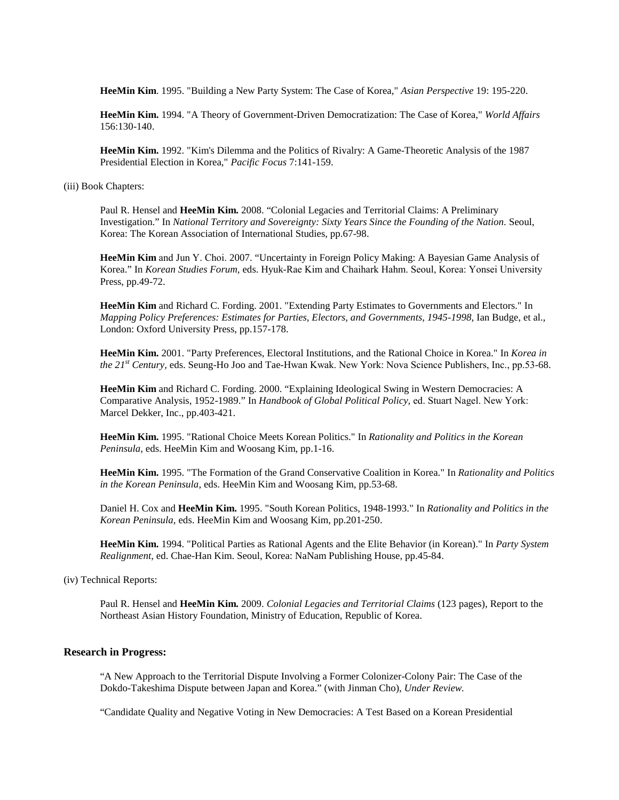**HeeMin Kim**. 1995. "Building a New Party System: The Case of Korea," *Asian Perspective* 19: 195-220.

**HeeMin Kim.** 1994. "A Theory of Government-Driven Democratization: The Case of Korea," *World Affairs* 156:130-140.

**HeeMin Kim.** 1992. "Kim's Dilemma and the Politics of Rivalry: A Game-Theoretic Analysis of the 1987 Presidential Election in Korea," *Pacific Focus* 7:141-159.

(iii) Book Chapters:

Paul R. Hensel and **HeeMin Kim.** 2008. "Colonial Legacies and Territorial Claims: A Preliminary Investigation." In *National Territory and Sovereignty: Sixty Years Since the Founding of the Nation.* Seoul, Korea: The Korean Association of International Studies, pp.67-98.

**HeeMin Kim** and Jun Y. Choi. 2007. "Uncertainty in Foreign Policy Making: A Bayesian Game Analysis of Korea." In *Korean Studies Forum,* eds. Hyuk-Rae Kim and Chaihark Hahm. Seoul, Korea: Yonsei University Press, pp.49-72.

**HeeMin Kim** and Richard C. Fording. 2001. "Extending Party Estimates to Governments and Electors." In *Mapping Policy Preferences: Estimates for Parties, Electors, and Governments, 1945-1998,* Ian Budge, et al., London: Oxford University Press, pp.157-178.

**HeeMin Kim.** 2001. "Party Preferences, Electoral Institutions, and the Rational Choice in Korea." In *Korea in the 21st Century,* eds. Seung-Ho Joo and Tae-Hwan Kwak. New York: Nova Science Publishers, Inc., pp.53-68.

**HeeMin Kim** and Richard C. Fording. 2000. "Explaining Ideological Swing in Western Democracies: A Comparative Analysis, 1952-1989." In *Handbook of Global Political Policy,* ed. Stuart Nagel. New York: Marcel Dekker, Inc., pp.403-421.

**HeeMin Kim.** 1995. "Rational Choice Meets Korean Politics." In *Rationality and Politics in the Korean Peninsula,* eds. HeeMin Kim and Woosang Kim, pp.1-16.

**HeeMin Kim.** 1995. "The Formation of the Grand Conservative Coalition in Korea." In *Rationality and Politics in the Korean Peninsula*, eds. HeeMin Kim and Woosang Kim, pp.53-68.

Daniel H. Cox and **HeeMin Kim.** 1995. "South Korean Politics, 1948-1993." In *Rationality and Politics in the Korean Peninsula,* eds. HeeMin Kim and Woosang Kim, pp.201-250.

**HeeMin Kim.** 1994. "Political Parties as Rational Agents and the Elite Behavior (in Korean)." In *Party System Realignment*, ed. Chae-Han Kim. Seoul, Korea: NaNam Publishing House, pp.45-84.

(iv) Technical Reports:

Paul R. Hensel and **HeeMin Kim.** 2009. *Colonial Legacies and Territorial Claims* (123 pages), Report to the Northeast Asian History Foundation, Ministry of Education, Republic of Korea.

### **Research in Progress:**

"A New Approach to the Territorial Dispute Involving a Former Colonizer-Colony Pair: The Case of the Dokdo-Takeshima Dispute between Japan and Korea." (with Jinman Cho), *Under Review.*

"Candidate Quality and Negative Voting in New Democracies: A Test Based on a Korean Presidential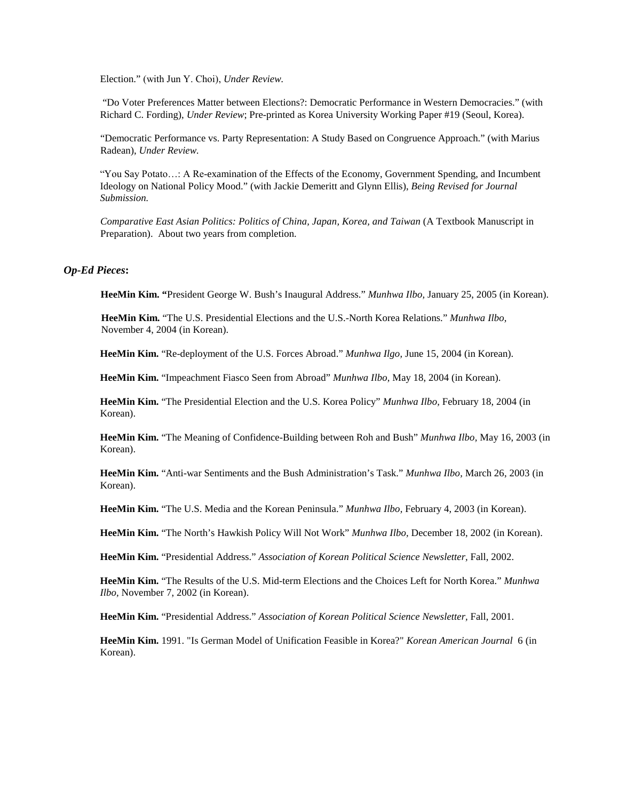Election." (with Jun Y. Choi), *Under Review.*

"Do Voter Preferences Matter between Elections?: Democratic Performance in Western Democracies." (with Richard C. Fording), *Under Review*; Pre-printed as Korea University Working Paper #19 (Seoul, Korea).

"Democratic Performance vs. Party Representation: A Study Based on Congruence Approach." (with Marius Radean), *Under Review.*

"You Say Potato…: A Re-examination of the Effects of the Economy, Government Spending, and Incumbent Ideology on National Policy Mood." (with Jackie Demeritt and Glynn Ellis), *Being Revised for Journal Submission.*

*Comparative East Asian Politics: Politics of China, Japan, Korea, and Taiwan* (A Textbook Manuscript in Preparation). About two years from completion.

### *Op-Ed Pieces***:**

**HeeMin Kim. "**President George W. Bush's Inaugural Address." *Munhwa Ilbo,* January 25, 2005 (in Korean).

**HeeMin Kim.** "The U.S. Presidential Elections and the U.S.-North Korea Relations." *Munhwa Ilbo,* November 4, 2004 (in Korean).

**HeeMin Kim.** "Re-deployment of the U.S. Forces Abroad." *Munhwa Ilgo,* June 15, 2004 (in Korean).

**HeeMin Kim.** "Impeachment Fiasco Seen from Abroad" *Munhwa Ilbo,* May 18, 2004 (in Korean).

**HeeMin Kim.** "The Presidential Election and the U.S. Korea Policy" *Munhwa Ilbo,* February 18, 2004 (in Korean).

**HeeMin Kim.** "The Meaning of Confidence-Building between Roh and Bush" *Munhwa Ilbo,* May 16, 2003 (in Korean).

**HeeMin Kim.** "Anti-war Sentiments and the Bush Administration's Task." *Munhwa Ilbo,* March 26, 2003 (in Korean).

**HeeMin Kim.** "The U.S. Media and the Korean Peninsula." *Munhwa Ilbo,* February 4, 2003 (in Korean).

**HeeMin Kim.** "The North's Hawkish Policy Will Not Work" *Munhwa Ilbo,* December 18, 2002 (in Korean).

**HeeMin Kim.** "Presidential Address." *Association of Korean Political Science Newsletter,* Fall, 2002.

**HeeMin Kim.** "The Results of the U.S. Mid-term Elections and the Choices Left for North Korea." *Munhwa Ilbo,* November 7, 2002 (in Korean).

**HeeMin Kim.** "Presidential Address." *Association of Korean Political Science Newsletter,* Fall, 2001.

**HeeMin Kim.** 1991. "Is German Model of Unification Feasible in Korea?" *Korean American Journal* 6 (in Korean).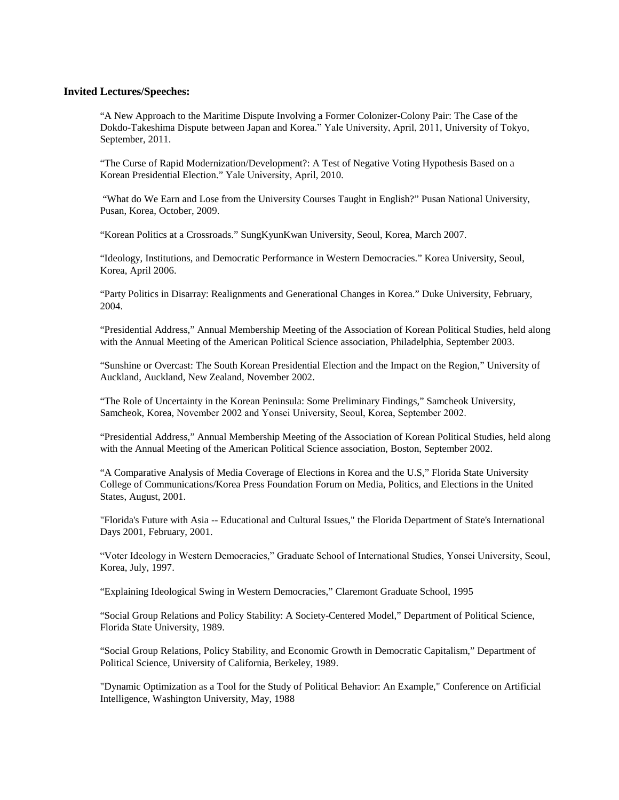### **Invited Lectures/Speeches:**

"A New Approach to the Maritime Dispute Involving a Former Colonizer-Colony Pair: The Case of the Dokdo-Takeshima Dispute between Japan and Korea." Yale University, April, 2011, University of Tokyo, September, 2011.

"The Curse of Rapid Modernization/Development?: A Test of Negative Voting Hypothesis Based on a Korean Presidential Election." Yale University, April, 2010*.*

"What do We Earn and Lose from the University Courses Taught in English?" Pusan National University, Pusan, Korea, October, 2009.

"Korean Politics at a Crossroads." SungKyunKwan University, Seoul, Korea, March 2007.

"Ideology, Institutions, and Democratic Performance in Western Democracies." Korea University, Seoul, Korea, April 2006.

"Party Politics in Disarray: Realignments and Generational Changes in Korea." Duke University, February, 2004.

"Presidential Address," Annual Membership Meeting of the Association of Korean Political Studies, held along with the Annual Meeting of the American Political Science association, Philadelphia, September 2003.

"Sunshine or Overcast: The South Korean Presidential Election and the Impact on the Region," University of Auckland, Auckland, New Zealand, November 2002.

"The Role of Uncertainty in the Korean Peninsula: Some Preliminary Findings," Samcheok University, Samcheok, Korea, November 2002 and Yonsei University, Seoul, Korea, September 2002.

"Presidential Address," Annual Membership Meeting of the Association of Korean Political Studies, held along with the Annual Meeting of the American Political Science association, Boston, September 2002.

"A Comparative Analysis of Media Coverage of Elections in Korea and the U.S," Florida State University College of Communications/Korea Press Foundation Forum on Media, Politics, and Elections in the United States, August, 2001.

"Florida's Future with Asia -- Educational and Cultural Issues," the Florida Department of State's International Days 2001, February, 2001.

"Voter Ideology in Western Democracies," Graduate School of International Studies, Yonsei University, Seoul, Korea, July, 1997.

"Explaining Ideological Swing in Western Democracies," Claremont Graduate School, 1995

"Social Group Relations and Policy Stability: A Society-Centered Model," Department of Political Science, Florida State University, 1989.

"Social Group Relations, Policy Stability, and Economic Growth in Democratic Capitalism," Department of Political Science, University of California, Berkeley, 1989.

"Dynamic Optimization as a Tool for the Study of Political Behavior: An Example," Conference on Artificial Intelligence, Washington University, May, 1988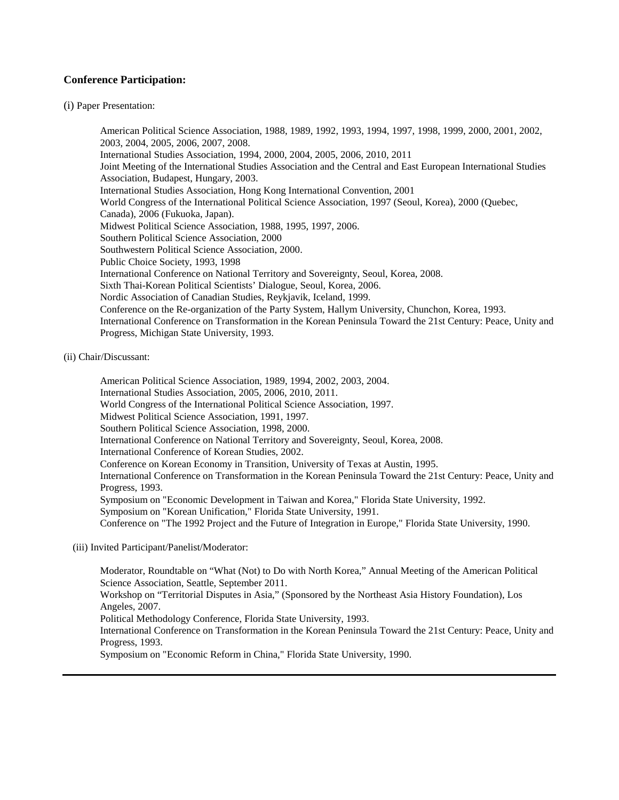### **Conference Participation:**

### (i) Paper Presentation:

American Political Science Association, 1988, 1989, 1992, 1993, 1994, 1997, 1998, 1999, 2000, 2001, 2002, 2003, 2004, 2005, 2006, 2007, 2008. International Studies Association, 1994, 2000, 2004, 2005, 2006, 2010, 2011 Joint Meeting of the International Studies Association and the Central and East European International Studies Association, Budapest, Hungary, 2003. International Studies Association, Hong Kong International Convention, 2001 World Congress of the International Political Science Association, 1997 (Seoul, Korea), 2000 (Quebec, Canada), 2006 (Fukuoka, Japan). Midwest Political Science Association, 1988, 1995, 1997, 2006. Southern Political Science Association, 2000 Southwestern Political Science Association, 2000. Public Choice Society, 1993, 1998 International Conference on National Territory and Sovereignty, Seoul, Korea, 2008. Sixth Thai-Korean Political Scientists' Dialogue, Seoul, Korea, 2006. Nordic Association of Canadian Studies, Reykjavik, Iceland, 1999. Conference on the Re-organization of the Party System, Hallym University, Chunchon, Korea, 1993. International Conference on Transformation in the Korean Peninsula Toward the 21st Century: Peace, Unity and Progress, Michigan State University, 1993.

### (ii) Chair/Discussant:

American Political Science Association, 1989, 1994, 2002, 2003, 2004. International Studies Association, 2005, 2006, 2010, 2011. World Congress of the International Political Science Association, 1997. Midwest Political Science Association, 1991, 1997. Southern Political Science Association, 1998, 2000. International Conference on National Territory and Sovereignty, Seoul, Korea, 2008. International Conference of Korean Studies, 2002. Conference on Korean Economy in Transition, University of Texas at Austin, 1995. International Conference on Transformation in the Korean Peninsula Toward the 21st Century: Peace, Unity and Progress, 1993. Symposium on "Economic Development in Taiwan and Korea," Florida State University, 1992. Symposium on "Korean Unification," Florida State University, 1991. Conference on "The 1992 Project and the Future of Integration in Europe," Florida State University, 1990.

### (iii) Invited Participant/Panelist/Moderator:

Moderator, Roundtable on "What (Not) to Do with North Korea," Annual Meeting of the American Political Science Association, Seattle, September 2011. Workshop on "Territorial Disputes in Asia," (Sponsored by the Northeast Asia History Foundation), Los Angeles, 2007. Political Methodology Conference, Florida State University, 1993. International Conference on Transformation in the Korean Peninsula Toward the 21st Century: Peace, Unity and Progress, 1993.

Symposium on "Economic Reform in China," Florida State University, 1990.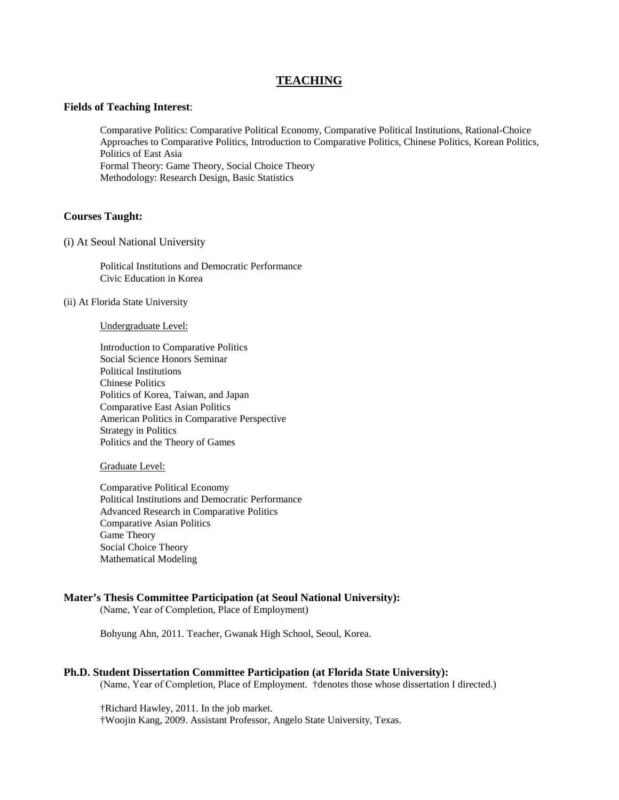## **TEACHING**

#### **Fields of Teaching Interest**:

Comparative Politics: Comparative Political Economy, Comparative Political Institutions, Rational-Choice Approaches to Comparative Politics, Introduction to Comparative Politics, Chinese Politics, Korean Politics, Politics of East Asia Formal Theory: Game Theory, Social Choice Theory Methodology: Research Design, Basic Statistics

### **Courses Taught:**

#### (i) At Seoul National University

Political Institutions and Democratic Performance Civic Education in Korea

### (ii) At Florida State University

#### Undergraduate Level:

Introduction to Comparative Politics Social Science Honors Seminar Political Institutions Chinese Politics Politics of Korea, Taiwan, and Japan Comparative East Asian Politics American Politics in Comparative Perspective Strategy in Politics Politics and the Theory of Games

#### Graduate Level:

Comparative Political Economy Political Institutions and Democratic Performance Advanced Research in Comparative Politics Comparative Asian Politics Game Theory Social Choice Theory Mathematical Modeling

#### **Mater's Thesis Committee Participation (at Seoul National University):**

(Name, Year of Completion, Place of Employment)

Bohyung Ahn, 2011. Teacher, Gwanak High School, Seoul, Korea.

#### **Ph.D. Student Dissertation Committee Participation (at Florida State University):**

(Name, Year of Completion, Place of Employment. †denotes those whose dissertation I directed.)

†Richard Hawley, 2011. In the job market.

†Woojin Kang, 2009. Assistant Professor, Angelo State University, Texas.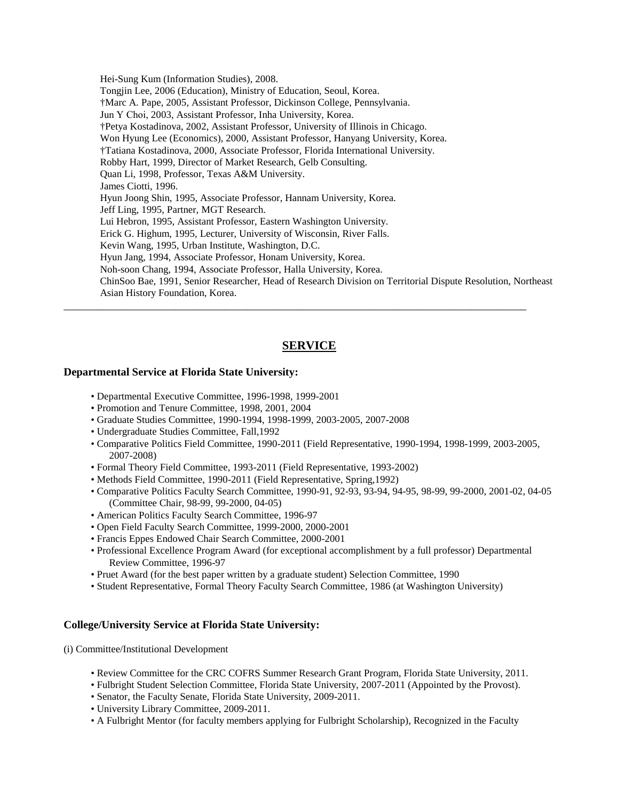Hei-Sung Kum (Information Studies), 2008. Tongjin Lee, 2006 (Education), Ministry of Education, Seoul, Korea. †Marc A. Pape, 2005, Assistant Professor, Dickinson College, Pennsylvania. Jun Y Choi, 2003, Assistant Professor, Inha University, Korea. †Petya Kostadinova, 2002, Assistant Professor, University of Illinois in Chicago. Won Hyung Lee (Economics), 2000, Assistant Professor, Hanyang University, Korea. †Tatiana Kostadinova, 2000, Associate Professor, Florida International University. Robby Hart, 1999, Director of Market Research, Gelb Consulting. Quan Li, 1998, Professor, Texas A&M University. James Ciotti, 1996. Hyun Joong Shin, 1995, Associate Professor, Hannam University, Korea. Jeff Ling, 1995, Partner, MGT Research. Lui Hebron, 1995, Assistant Professor, Eastern Washington University. Erick G. Highum, 1995, Lecturer, University of Wisconsin, River Falls. Kevin Wang, 1995, Urban Institute, Washington, D.C. Hyun Jang, 1994, Associate Professor, Honam University, Korea. Noh-soon Chang, 1994, Associate Professor, Halla University, Korea. ChinSoo Bae, 1991, Senior Researcher, Head of Research Division on Territorial Dispute Resolution, Northeast Asian History Foundation, Korea. \_\_\_\_\_\_\_\_\_\_\_\_\_\_\_\_\_\_\_\_\_\_\_\_\_\_\_\_\_\_\_\_\_\_\_\_\_\_\_\_\_\_\_\_\_\_\_\_\_\_\_\_\_\_\_\_\_\_\_\_\_\_\_\_\_\_\_\_\_\_\_\_\_\_\_\_\_\_\_\_\_\_\_

## **SERVICE**

### **Departmental Service at Florida State University:**

- Departmental Executive Committee, 1996-1998, 1999-2001
- Promotion and Tenure Committee, 1998, 2001, 2004
- Graduate Studies Committee, 1990-1994, 1998-1999, 2003-2005, 2007-2008
- Undergraduate Studies Committee, Fall,1992
- Comparative Politics Field Committee, 1990-2011 (Field Representative, 1990-1994, 1998-1999, 2003-2005, 2007-2008)
- Formal Theory Field Committee, 1993-2011 (Field Representative, 1993-2002)
- Methods Field Committee, 1990-2011 (Field Representative, Spring,1992)
- Comparative Politics Faculty Search Committee, 1990-91, 92-93, 93-94, 94-95, 98-99, 99-2000, 2001-02, 04-05 (Committee Chair, 98-99, 99-2000, 04-05)
- American Politics Faculty Search Committee, 1996-97
- Open Field Faculty Search Committee, 1999-2000, 2000-2001
- Francis Eppes Endowed Chair Search Committee, 2000-2001
- Professional Excellence Program Award (for exceptional accomplishment by a full professor) Departmental Review Committee, 1996-97
- Pruet Award (for the best paper written by a graduate student) Selection Committee, 1990
- Student Representative, Formal Theory Faculty Search Committee, 1986 (at Washington University)

### **College/University Service at Florida State University:**

(i) Committee/Institutional Development

- Review Committee for the CRC COFRS Summer Research Grant Program, Florida State University, 2011.
- Fulbright Student Selection Committee, Florida State University, 2007-2011 (Appointed by the Provost).
- Senator, the Faculty Senate, Florida State University, 2009-2011.
- University Library Committee, 2009-2011.
- A Fulbright Mentor (for faculty members applying for Fulbright Scholarship), Recognized in the Faculty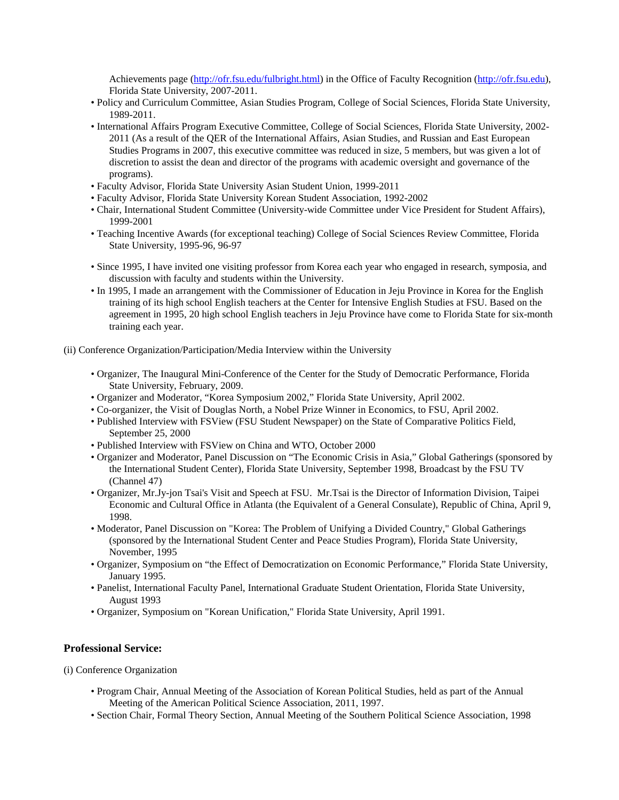Achievements page [\(http://ofr.fsu.edu/fulbright.html\)](http://ofr.fsu.edu/fulbright.html) in the Office of Faculty Recognition (http://ofr.fsu.edu), Florida State University, 2007-2011.

- Policy and Curriculum Committee, Asian Studies Program, College of Social Sciences, Florida State University, 1989-2011.
- International Affairs Program Executive Committee, College of Social Sciences, Florida State University, 2002- 2011 (As a result of the QER of the International Affairs, Asian Studies, and Russian and East European Studies Programs in 2007, this executive committee was reduced in size, 5 members, but was given a lot of discretion to assist the dean and director of the programs with academic oversight and governance of the programs).
- Faculty Advisor, Florida State University Asian Student Union, 1999-2011
- Faculty Advisor, Florida State University Korean Student Association, 1992-2002
- Chair, International Student Committee (University-wide Committee under Vice President for Student Affairs), 1999-2001
- Teaching Incentive Awards (for exceptional teaching) College of Social Sciences Review Committee, Florida State University, 1995-96, 96-97
- Since 1995, I have invited one visiting professor from Korea each year who engaged in research, symposia, and discussion with faculty and students within the University.
- In 1995, I made an arrangement with the Commissioner of Education in Jeju Province in Korea for the English training of its high school English teachers at the Center for Intensive English Studies at FSU. Based on the agreement in 1995, 20 high school English teachers in Jeju Province have come to Florida State for six-month training each year.
- (ii) Conference Organization/Participation/Media Interview within the University
	- Organizer, The Inaugural Mini-Conference of the Center for the Study of Democratic Performance, Florida State University, February, 2009.
	- Organizer and Moderator, "Korea Symposium 2002," Florida State University, April 2002.
	- Co-organizer, the Visit of Douglas North, a Nobel Prize Winner in Economics, to FSU, April 2002.
	- Published Interview with FSView (FSU Student Newspaper) on the State of Comparative Politics Field, September 25, 2000
	- Published Interview with FSView on China and WTO, October 2000
	- Organizer and Moderator, Panel Discussion on "The Economic Crisis in Asia," Global Gatherings (sponsored by the International Student Center), Florida State University, September 1998, Broadcast by the FSU TV (Channel 47)
	- Organizer, Mr.Jy-jon Tsai's Visit and Speech at FSU. Mr.Tsai is the Director of Information Division, Taipei Economic and Cultural Office in Atlanta (the Equivalent of a General Consulate), Republic of China, April 9, 1998.
	- Moderator, Panel Discussion on "Korea: The Problem of Unifying a Divided Country," Global Gatherings (sponsored by the International Student Center and Peace Studies Program), Florida State University, November, 1995
	- Organizer, Symposium on "the Effect of Democratization on Economic Performance," Florida State University, January 1995.
	- Panelist, International Faculty Panel, International Graduate Student Orientation, Florida State University, August 1993
	- Organizer, Symposium on "Korean Unification," Florida State University, April 1991.

### **Professional Service:**

(i) Conference Organization

- Program Chair, Annual Meeting of the Association of Korean Political Studies, held as part of the Annual Meeting of the American Political Science Association, 2011, 1997.
- Section Chair, Formal Theory Section, Annual Meeting of the Southern Political Science Association, 1998